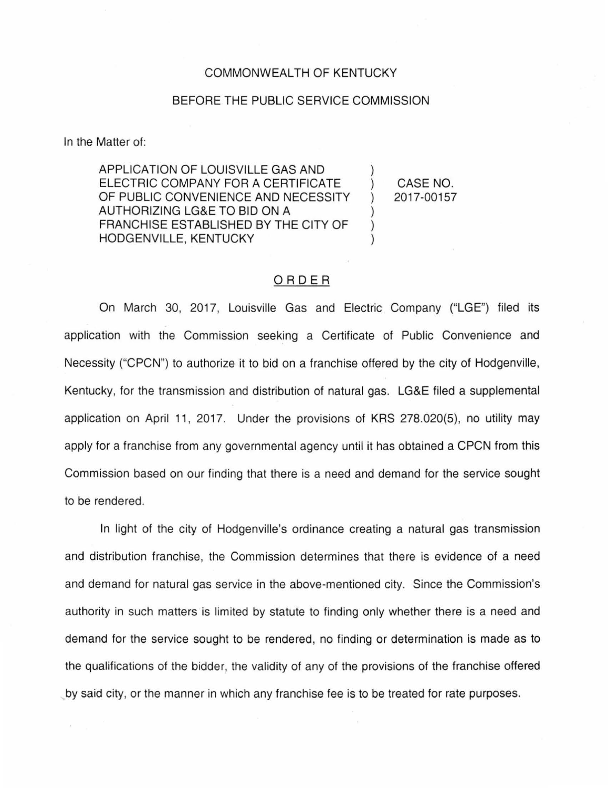## COMMONWEALTH OF KENTUCKY

## BEFORE THE PUBLIC SERVICE COMMISSION

In the Matter of:

APPLICATION OF LOUISVILLE GAS AND ) ELECTRIC COMPANY FOR A CERTIFICATE OF PUBLIC CONVENIENCE AND NECESSITY AUTHORIZING LG&E TO BID ON A ) FRANCHISE ESTABLISHED BY THE CITY OF HODGENVILLE, KENTUCKY

CASE NO. 2017-00157

## ORDER

On March 30, 2017, Louisville Gas and Electric Company ("LGE") filed its application with the Commission seeking a Certificate of Public Convenience and Necessity ("CPCN") to authorize it to bid on a franchise offered by the city of Hodgenville, Kentucky, for the transmission and distribution of natural gas. LG&E filed a supplemental application on April 11, 2017. Under the provisions of KRS 278.020(5), no utility may apply for a franchise from any governmental agency until it has obtained a CPCN from this Commission based on our finding that there is a need and demand for the service sought to be rendered.

In light of the city of Hodgenville's ordinance creating a natural gas transmission and distribution franchise, the Commission determines that there is evidence of a need and demand for natural gas service in the above-mentioned city. Since the Commission's authority in such matters is limited by statute to finding only whether there is a need and demand for the service sought to be rendered, no finding or determination is made as to the qualifications of the bidder, the validity of any of the provisions of the franchise offered by said city, or the manner in which any franchise fee is to be treated for rate purposes.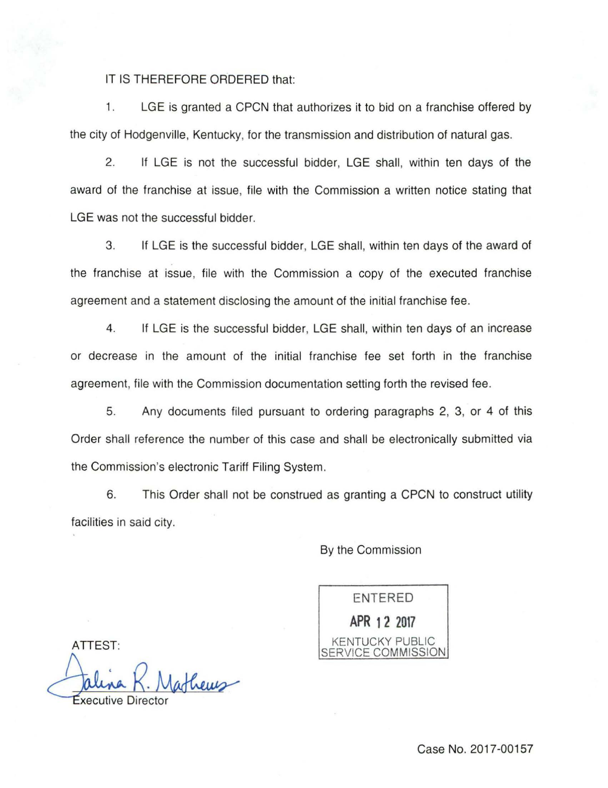## IT IS THEREFORE ORDERED that:

1. LGE is granted a CPCN that authorizes it to bid on a franchise offered by the city of Hodgenville, Kentucky, for the transmission and distribution of natural gas.

2. If LGE is not the successful bidder, LGE shall, within ten days of the award of the franchise at issue, file with the Commission a written notice stating that LGE was not the successful bidder.

3. If LGE is the successful bidder, LGE shall, within ten days of the award of the franchise at issue, file with the Commission a copy of the executed franchise agreement and a statement disclosing the amount of the initial franchise fee .

4. If LGE is the successful bidder, LGE shall, within ten days of an increase or decrease in the amount of the initial franchise fee set forth in the franchise agreement, file with the Commission documentation setting forth the revised fee.

5. Any documents filed pursuant to ordering paragraphs 2, 3, or 4 of this Order shall reference the number of this case and shall be electronically submitted via the Commission's electronic Tariff Filing System .

6. This Order shall not be construed as granting a CPCN to construct utility facilities in said city.

By the Commission

ENTERED **APR 12 2017**  KENTUCKY PUBLIC SERVICE COMMISSION

ATTEST:

thews

Case No. 2017-00157